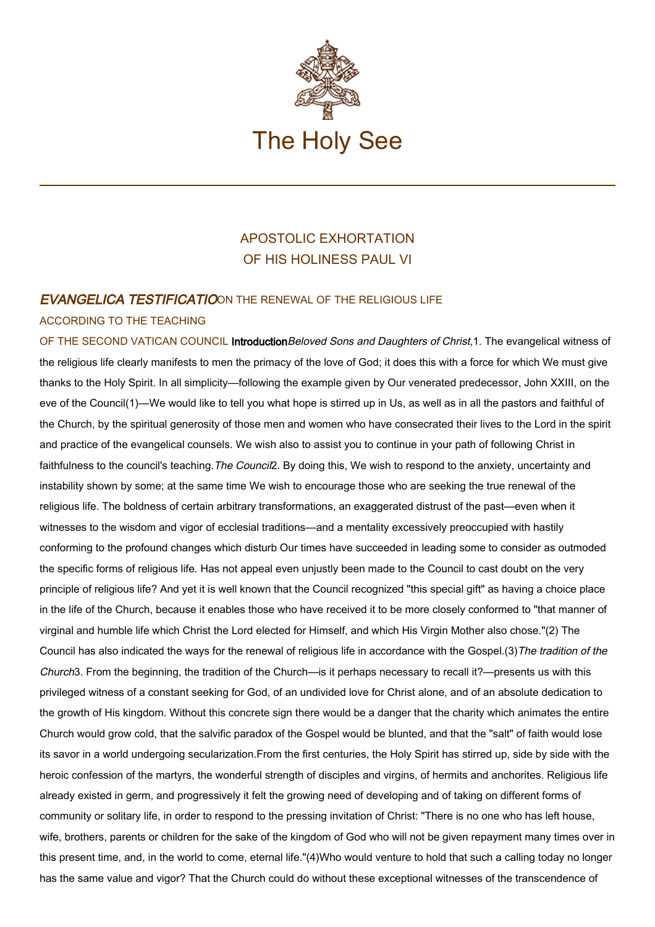

## APOSTOLIC EXHORTATION OF HIS HOLINESS PAUL VI

## EVANGELICA TESTIFICATIOON THE RENEWAL OF THE RELIGIOUS LIFE

## ACCORDING TO THE TEACHING

OF THE SECOND VATICAN COUNCIL Introduction Beloved Sons and Daughters of Christ,1. The evangelical witness of the religious life clearly manifests to men the primacy of the love of God; it does this with a force for which We must give thanks to the Holy Spirit. In all simplicity—following the example given by Our venerated predecessor, John XXIII, on the eve of the Council(1)—We would like to tell you what hope is stirred up in Us, as well as in all the pastors and faithful of the Church, by the spiritual generosity of those men and women who have consecrated their lives to the Lord in the spirit and practice of the evangelical counsels. We wish also to assist you to continue in your path of following Christ in faithfulness to the council's teaching. The Council 2. By doing this, We wish to respond to the anxiety, uncertainty and instability shown by some; at the same time We wish to encourage those who are seeking the true renewal of the religious life. The boldness of certain arbitrary transformations, an exaggerated distrust of the past—even when it witnesses to the wisdom and vigor of ecclesial traditions—and a mentality excessively preoccupied with hastily conforming to the profound changes which disturb Our times have succeeded in leading some to consider as outmoded the specific forms of religious life. Has not appeal even unjustly been made to the Council to cast doubt on the very principle of religious life? And yet it is well known that the Council recognized "this special gift" as having a choice place in the life of the Church, because it enables those who have received it to be more closely conformed to "that manner of virginal and humble life which Christ the Lord elected for Himself, and which His Virgin Mother also chose."(2) The Council has also indicated the ways for the renewal of religious life in accordance with the Gospel.(3) The tradition of the Church3. From the beginning, the tradition of the Church—is it perhaps necessary to recall it?—presents us with this privileged witness of a constant seeking for God, of an undivided love for Christ alone, and of an absolute dedication to the growth of His kingdom. Without this concrete sign there would be a danger that the charity which animates the entire Church would grow cold, that the salvific paradox of the Gospel would be blunted, and that the "salt" of faith would lose its savor in a world undergoing secularization.From the first centuries, the Holy Spirit has stirred up, side by side with the heroic confession of the martyrs, the wonderful strength of disciples and virgins, of hermits and anchorites. Religious life already existed in germ, and progressively it felt the growing need of developing and of taking on different forms of community or solitary life, in order to respond to the pressing invitation of Christ: "There is no one who has left house, wife, brothers, parents or children for the sake of the kingdom of God who will not be given repayment many times over in this present time, and, in the world to come, eternal life."(4)Who would venture to hold that such a calling today no longer has the same value and vigor? That the Church could do without these exceptional witnesses of the transcendence of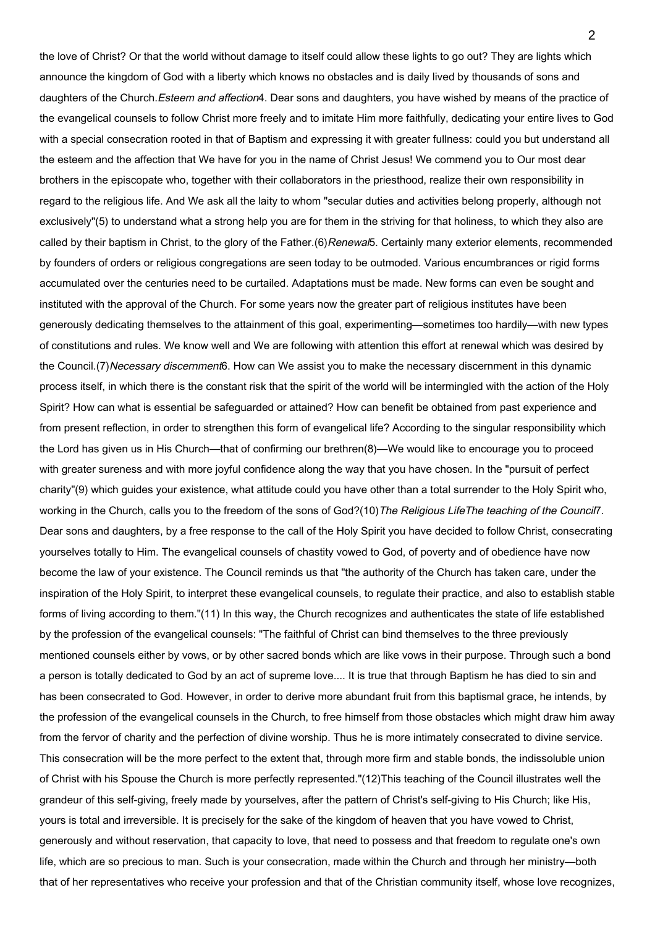the love of Christ? Or that the world without damage to itself could allow these lights to go out? They are lights which announce the kingdom of God with a liberty which knows no obstacles and is daily lived by thousands of sons and daughters of the Church. Esteem and affection4. Dear sons and daughters, you have wished by means of the practice of the evangelical counsels to follow Christ more freely and to imitate Him more faithfully, dedicating your entire lives to God with a special consecration rooted in that of Baptism and expressing it with greater fullness: could you but understand all the esteem and the affection that We have for you in the name of Christ Jesus! We commend you to Our most dear brothers in the episcopate who, together with their collaborators in the priesthood, realize their own responsibility in regard to the religious life. And We ask all the laity to whom "secular duties and activities belong properly, although not exclusively"(5) to understand what a strong help you are for them in the striving for that holiness, to which they also are called by their baptism in Christ, to the glory of the Father.(6) Renewal 5. Certainly many exterior elements, recommended by founders of orders or religious congregations are seen today to be outmoded. Various encumbrances or rigid forms accumulated over the centuries need to be curtailed. Adaptations must be made. New forms can even be sought and instituted with the approval of the Church. For some years now the greater part of religious institutes have been generously dedicating themselves to the attainment of this goal, experimenting—sometimes too hardily—with new types of constitutions and rules. We know well and We are following with attention this effort at renewal which was desired by the Council.(7) Necessary discernment6. How can We assist you to make the necessary discernment in this dynamic process itself, in which there is the constant risk that the spirit of the world will be intermingled with the action of the Holy Spirit? How can what is essential be safeguarded or attained? How can benefit be obtained from past experience and from present reflection, in order to strengthen this form of evangelical life? According to the singular responsibility which the Lord has given us in His Church—that of confirming our brethren(8)—We would like to encourage you to proceed with greater sureness and with more joyful confidence along the way that you have chosen. In the "pursuit of perfect charity"(9) which guides your existence, what attitude could you have other than a total surrender to the Holy Spirit who, working in the Church, calls you to the freedom of the sons of God?(10) The Religious LifeThe teaching of the Council7. Dear sons and daughters, by a free response to the call of the Holy Spirit you have decided to follow Christ, consecrating yourselves totally to Him. The evangelical counsels of chastity vowed to God, of poverty and of obedience have now become the law of your existence. The Council reminds us that "the authority of the Church has taken care, under the inspiration of the Holy Spirit, to interpret these evangelical counsels, to regulate their practice, and also to establish stable forms of living according to them."(11) In this way, the Church recognizes and authenticates the state of life established by the profession of the evangelical counsels: "The faithful of Christ can bind themselves to the three previously mentioned counsels either by vows, or by other sacred bonds which are like vows in their purpose. Through such a bond a person is totally dedicated to God by an act of supreme love.... It is true that through Baptism he has died to sin and has been consecrated to God. However, in order to derive more abundant fruit from this baptismal grace, he intends, by the profession of the evangelical counsels in the Church, to free himself from those obstacles which might draw him away from the fervor of charity and the perfection of divine worship. Thus he is more intimately consecrated to divine service. This consecration will be the more perfect to the extent that, through more firm and stable bonds, the indissoluble union of Christ with his Spouse the Church is more perfectly represented."(12)This teaching of the Council illustrates well the grandeur of this self-giving, freely made by yourselves, after the pattern of Christ's self-giving to His Church; like His, yours is total and irreversible. It is precisely for the sake of the kingdom of heaven that you have vowed to Christ, generously and without reservation, that capacity to love, that need to possess and that freedom to regulate one's own life, which are so precious to man. Such is your consecration, made within the Church and through her ministry—both that of her representatives who receive your profession and that of the Christian community itself, whose love recognizes,

 $\mathfrak{D}$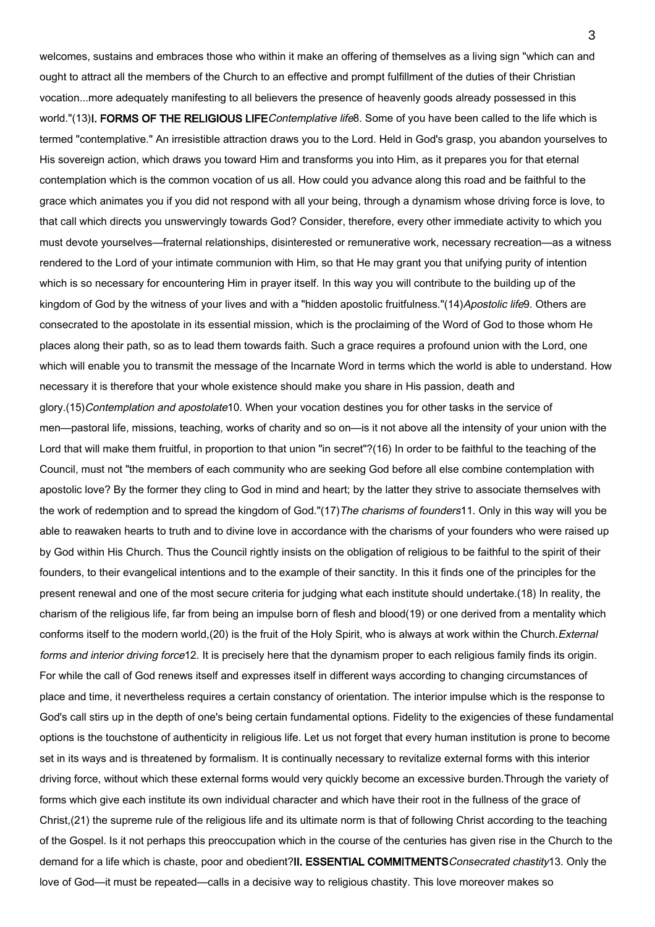welcomes, sustains and embraces those who within it make an offering of themselves as a living sign "which can and ought to attract all the members of the Church to an effective and prompt fulfillment of the duties of their Christian vocation...more adequately manifesting to all believers the presence of heavenly goods already possessed in this world."(13)I. FORMS OF THE RELIGIOUS LIFE Contemplative life8. Some of you have been called to the life which is termed "contemplative." An irresistible attraction draws you to the Lord. Held in God's grasp, you abandon yourselves to His sovereign action, which draws you toward Him and transforms you into Him, as it prepares you for that eternal contemplation which is the common vocation of us all. How could you advance along this road and be faithful to the grace which animates you if you did not respond with all your being, through a dynamism whose driving force is love, to that call which directs you unswervingly towards God? Consider, therefore, every other immediate activity to which you must devote yourselves—fraternal relationships, disinterested or remunerative work, necessary recreation—as a witness rendered to the Lord of your intimate communion with Him, so that He may grant you that unifying purity of intention which is so necessary for encountering Him in prayer itself. In this way you will contribute to the building up of the kingdom of God by the witness of your lives and with a "hidden apostolic fruitfulness."(14)Apostolic life9. Others are consecrated to the apostolate in its essential mission, which is the proclaiming of the Word of God to those whom He places along their path, so as to lead them towards faith. Such a grace requires a profound union with the Lord, one which will enable you to transmit the message of the Incarnate Word in terms which the world is able to understand. How necessary it is therefore that your whole existence should make you share in His passion, death and glory.(15)Contemplation and apostolate10. When your vocation destines you for other tasks in the service of men—pastoral life, missions, teaching, works of charity and so on—is it not above all the intensity of your union with the Lord that will make them fruitful, in proportion to that union "in secret"?(16) In order to be faithful to the teaching of the Council, must not "the members of each community who are seeking God before all else combine contemplation with apostolic love? By the former they cling to God in mind and heart; by the latter they strive to associate themselves with the work of redemption and to spread the kingdom of God."(17) The charisms of founders11. Only in this way will you be able to reawaken hearts to truth and to divine love in accordance with the charisms of your founders who were raised up by God within His Church. Thus the Council rightly insists on the obligation of religious to be faithful to the spirit of their founders, to their evangelical intentions and to the example of their sanctity. In this it finds one of the principles for the present renewal and one of the most secure criteria for judging what each institute should undertake.(18) In reality, the charism of the religious life, far from being an impulse born of flesh and blood(19) or one derived from a mentality which conforms itself to the modern world,(20) is the fruit of the Holy Spirit, who is always at work within the Church. External forms and interior driving force12. It is precisely here that the dynamism proper to each religious family finds its origin. For while the call of God renews itself and expresses itself in different ways according to changing circumstances of place and time, it nevertheless requires a certain constancy of orientation. The interior impulse which is the response to God's call stirs up in the depth of one's being certain fundamental options. Fidelity to the exigencies of these fundamental options is the touchstone of authenticity in religious life. Let us not forget that every human institution is prone to become set in its ways and is threatened by formalism. It is continually necessary to revitalize external forms with this interior driving force, without which these external forms would very quickly become an excessive burden.Through the variety of forms which give each institute its own individual character and which have their root in the fullness of the grace of Christ,(21) the supreme rule of the religious life and its ultimate norm is that of following Christ according to the teaching of the Gospel. Is it not perhaps this preoccupation which in the course of the centuries has given rise in the Church to the demand for a life which is chaste, poor and obedient?II. ESSENTIAL COMMITMENTS Consecrated chastity13. Only the love of God—it must be repeated—calls in a decisive way to religious chastity. This love moreover makes so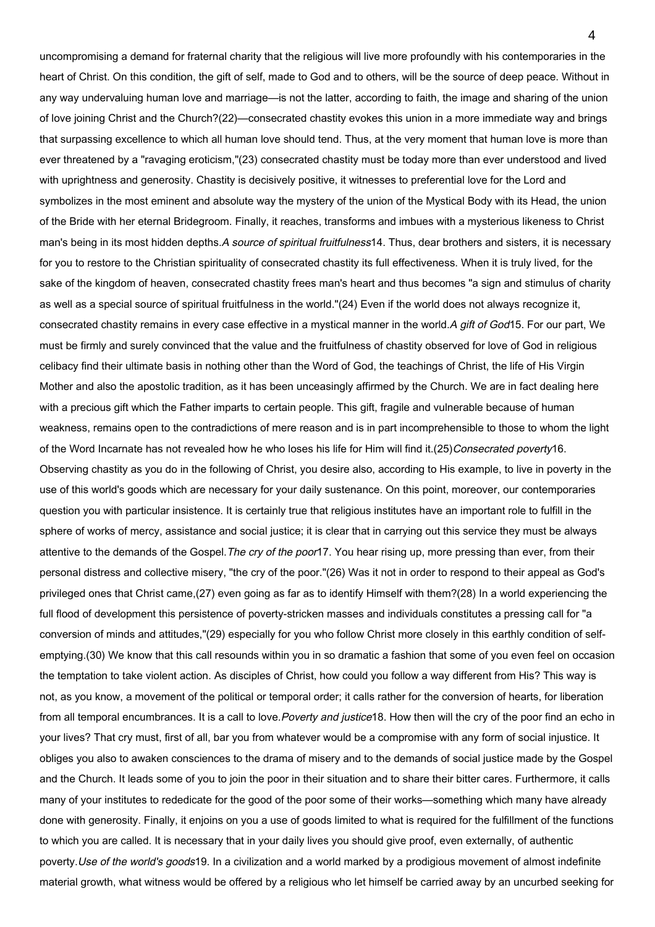uncompromising a demand for fraternal charity that the religious will live more profoundly with his contemporaries in the heart of Christ. On this condition, the gift of self, made to God and to others, will be the source of deep peace. Without in any way undervaluing human love and marriage—is not the latter, according to faith, the image and sharing of the union of love joining Christ and the Church?(22)—consecrated chastity evokes this union in a more immediate way and brings that surpassing excellence to which all human love should tend. Thus, at the very moment that human love is more than ever threatened by a "ravaging eroticism,"(23) consecrated chastity must be today more than ever understood and lived with uprightness and generosity. Chastity is decisively positive, it witnesses to preferential love for the Lord and symbolizes in the most eminent and absolute way the mystery of the union of the Mystical Body with its Head, the union of the Bride with her eternal Bridegroom. Finally, it reaches, transforms and imbues with a mysterious likeness to Christ man's being in its most hidden depths.A source of spiritual fruitfulness14. Thus, dear brothers and sisters, it is necessary for you to restore to the Christian spirituality of consecrated chastity its full effectiveness. When it is truly lived, for the sake of the kingdom of heaven, consecrated chastity frees man's heart and thus becomes "a sign and stimulus of charity as well as a special source of spiritual fruitfulness in the world."(24) Even if the world does not always recognize it, consecrated chastity remains in every case effective in a mystical manner in the world.A gift of God15. For our part, We must be firmly and surely convinced that the value and the fruitfulness of chastity observed for love of God in religious celibacy find their ultimate basis in nothing other than the Word of God, the teachings of Christ, the life of His Virgin Mother and also the apostolic tradition, as it has been unceasingly affirmed by the Church. We are in fact dealing here with a precious gift which the Father imparts to certain people. This gift, fragile and vulnerable because of human weakness, remains open to the contradictions of mere reason and is in part incomprehensible to those to whom the light of the Word Incarnate has not revealed how he who loses his life for Him will find it.(25)Consecrated poverty16. Observing chastity as you do in the following of Christ, you desire also, according to His example, to live in poverty in the use of this world's goods which are necessary for your daily sustenance. On this point, moreover, our contemporaries question you with particular insistence. It is certainly true that religious institutes have an important role to fulfill in the sphere of works of mercy, assistance and social justice; it is clear that in carrying out this service they must be always attentive to the demands of the Gospel. The cry of the poor 17. You hear rising up, more pressing than ever, from their personal distress and collective misery, "the cry of the poor."(26) Was it not in order to respond to their appeal as God's privileged ones that Christ came,(27) even going as far as to identify Himself with them?(28) In a world experiencing the full flood of development this persistence of poverty-stricken masses and individuals constitutes a pressing call for "a conversion of minds and attitudes,"(29) especially for you who follow Christ more closely in this earthly condition of selfemptying.(30) We know that this call resounds within you in so dramatic a fashion that some of you even feel on occasion the temptation to take violent action. As disciples of Christ, how could you follow a way different from His? This way is not, as you know, a movement of the political or temporal order; it calls rather for the conversion of hearts, for liberation from all temporal encumbrances. It is a call to love. Poverty and justice18. How then will the cry of the poor find an echo in your lives? That cry must, first of all, bar you from whatever would be a compromise with any form of social injustice. It obliges you also to awaken consciences to the drama of misery and to the demands of social justice made by the Gospel and the Church. It leads some of you to join the poor in their situation and to share their bitter cares. Furthermore, it calls many of your institutes to rededicate for the good of the poor some of their works—something which many have already done with generosity. Finally, it enjoins on you a use of goods limited to what is required for the fulfillment of the functions to which you are called. It is necessary that in your daily lives you should give proof, even externally, of authentic poverty. Use of the world's goods19. In a civilization and a world marked by a prodigious movement of almost indefinite material growth, what witness would be offered by a religious who let himself be carried away by an uncurbed seeking for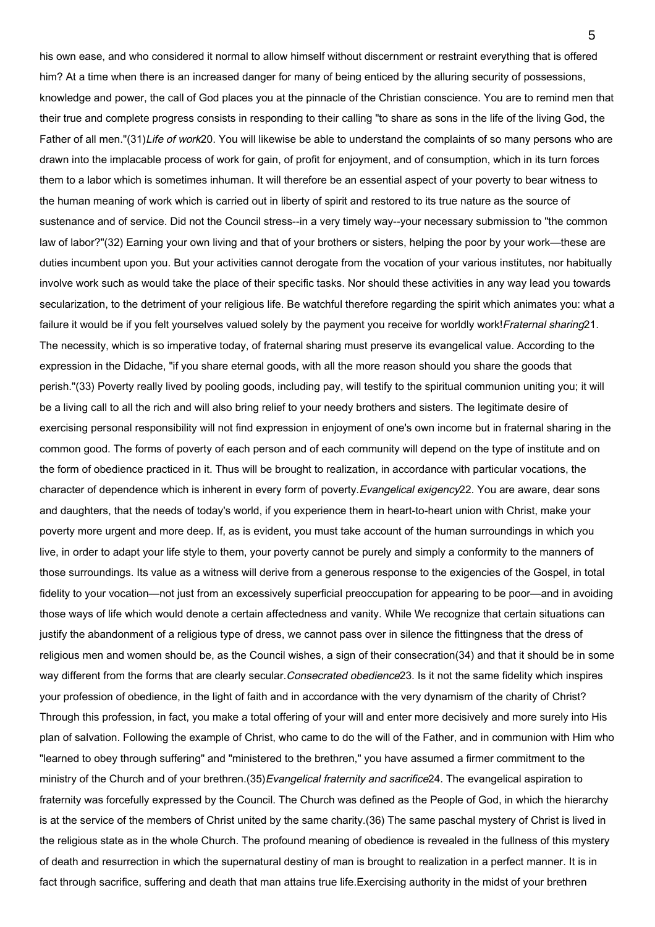his own ease, and who considered it normal to allow himself without discernment or restraint everything that is offered him? At a time when there is an increased danger for many of being enticed by the alluring security of possessions, knowledge and power, the call of God places you at the pinnacle of the Christian conscience. You are to remind men that their true and complete progress consists in responding to their calling "to share as sons in the life of the living God, the Father of all men."(31) Life of work20. You will likewise be able to understand the complaints of so many persons who are drawn into the implacable process of work for gain, of profit for enjoyment, and of consumption, which in its turn forces them to a labor which is sometimes inhuman. It will therefore be an essential aspect of your poverty to bear witness to the human meaning of work which is carried out in liberty of spirit and restored to its true nature as the source of sustenance and of service. Did not the Council stress--in a very timely way--your necessary submission to "the common law of labor?"(32) Earning your own living and that of your brothers or sisters, helping the poor by your work—these are duties incumbent upon you. But your activities cannot derogate from the vocation of your various institutes, nor habitually involve work such as would take the place of their specific tasks. Nor should these activities in any way lead you towards secularization, to the detriment of your religious life. Be watchful therefore regarding the spirit which animates you: what a failure it would be if you felt yourselves valued solely by the payment you receive for worldly work! Fraternal sharing21. The necessity, which is so imperative today, of fraternal sharing must preserve its evangelical value. According to the expression in the Didache, "if you share eternal goods, with all the more reason should you share the goods that perish."(33) Poverty really lived by pooling goods, including pay, will testify to the spiritual communion uniting you; it will be a living call to all the rich and will also bring relief to your needy brothers and sisters. The legitimate desire of exercising personal responsibility will not find expression in enjoyment of one's own income but in fraternal sharing in the common good. The forms of poverty of each person and of each community will depend on the type of institute and on the form of obedience practiced in it. Thus will be brought to realization, in accordance with particular vocations, the character of dependence which is inherent in every form of poverty. Evangelical exigency22. You are aware, dear sons and daughters, that the needs of today's world, if you experience them in heart-to-heart union with Christ, make your poverty more urgent and more deep. If, as is evident, you must take account of the human surroundings in which you live, in order to adapt your life style to them, your poverty cannot be purely and simply a conformity to the manners of those surroundings. Its value as a witness will derive from a generous response to the exigencies of the Gospel, in total fidelity to your vocation—not just from an excessively superficial preoccupation for appearing to be poor—and in avoiding those ways of life which would denote a certain affectedness and vanity. While We recognize that certain situations can justify the abandonment of a religious type of dress, we cannot pass over in silence the fittingness that the dress of religious men and women should be, as the Council wishes, a sign of their consecration(34) and that it should be in some way different from the forms that are clearly secular. Consecrated obedience23. Is it not the same fidelity which inspires your profession of obedience, in the light of faith and in accordance with the very dynamism of the charity of Christ? Through this profession, in fact, you make a total offering of your will and enter more decisively and more surely into His plan of salvation. Following the example of Christ, who came to do the will of the Father, and in communion with Him who "learned to obey through suffering" and "ministered to the brethren," you have assumed a firmer commitment to the ministry of the Church and of your brethren.(35) Evangelical fraternity and sacrifice 24. The evangelical aspiration to fraternity was forcefully expressed by the Council. The Church was defined as the People of God, in which the hierarchy is at the service of the members of Christ united by the same charity.(36) The same paschal mystery of Christ is lived in the religious state as in the whole Church. The profound meaning of obedience is revealed in the fullness of this mystery of death and resurrection in which the supernatural destiny of man is brought to realization in a perfect manner. It is in fact through sacrifice, suffering and death that man attains true life.Exercising authority in the midst of your brethren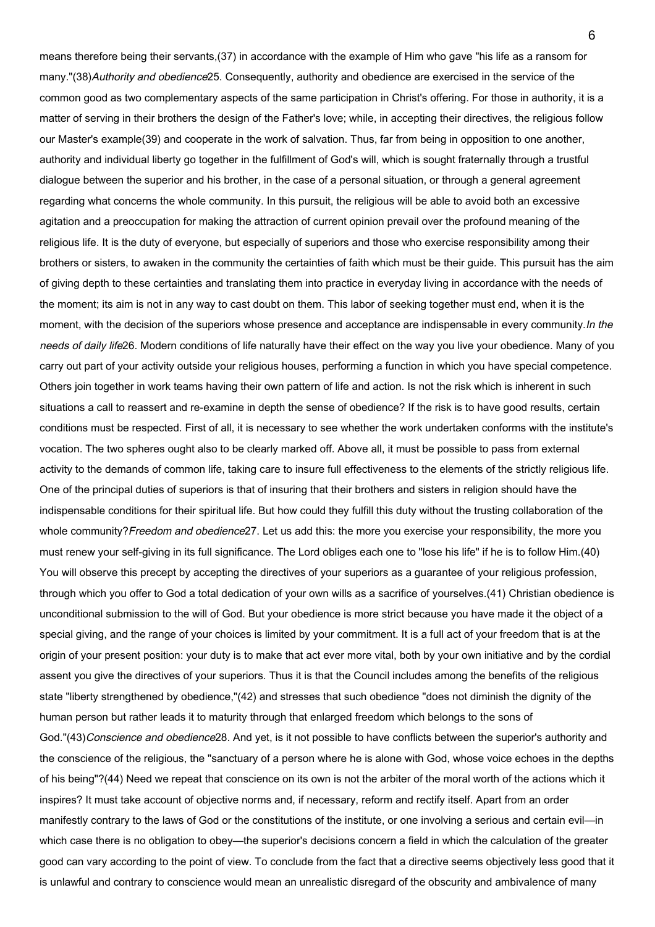means therefore being their servants,(37) in accordance with the example of Him who gave "his life as a ransom for many."(38)Authority and obedience25. Consequently, authority and obedience are exercised in the service of the common good as two complementary aspects of the same participation in Christ's offering. For those in authority, it is a matter of serving in their brothers the design of the Father's love; while, in accepting their directives, the religious follow our Master's example(39) and cooperate in the work of salvation. Thus, far from being in opposition to one another, authority and individual liberty go together in the fulfillment of God's will, which is sought fraternally through a trustful dialogue between the superior and his brother, in the case of a personal situation, or through a general agreement regarding what concerns the whole community. In this pursuit, the religious will be able to avoid both an excessive agitation and a preoccupation for making the attraction of current opinion prevail over the profound meaning of the religious life. It is the duty of everyone, but especially of superiors and those who exercise responsibility among their brothers or sisters, to awaken in the community the certainties of faith which must be their guide. This pursuit has the aim of giving depth to these certainties and translating them into practice in everyday living in accordance with the needs of the moment; its aim is not in any way to cast doubt on them. This labor of seeking together must end, when it is the moment, with the decision of the superiors whose presence and acceptance are indispensable in every community. In the needs of daily life26. Modern conditions of life naturally have their effect on the way you live your obedience. Many of you carry out part of your activity outside your religious houses, performing a function in which you have special competence. Others join together in work teams having their own pattern of life and action. Is not the risk which is inherent in such situations a call to reassert and re-examine in depth the sense of obedience? If the risk is to have good results, certain conditions must be respected. First of all, it is necessary to see whether the work undertaken conforms with the institute's vocation. The two spheres ought also to be clearly marked off. Above all, it must be possible to pass from external activity to the demands of common life, taking care to insure full effectiveness to the elements of the strictly religious life. One of the principal duties of superiors is that of insuring that their brothers and sisters in religion should have the indispensable conditions for their spiritual life. But how could they fulfill this duty without the trusting collaboration of the whole community? Freedom and obedience27. Let us add this: the more you exercise your responsibility, the more you must renew your self-giving in its full significance. The Lord obliges each one to "lose his life" if he is to follow Him.(40) You will observe this precept by accepting the directives of your superiors as a guarantee of your religious profession, through which you offer to God a total dedication of your own wills as a sacrifice of yourselves.(41) Christian obedience is unconditional submission to the will of God. But your obedience is more strict because you have made it the object of a special giving, and the range of your choices is limited by your commitment. It is a full act of your freedom that is at the origin of your present position: your duty is to make that act ever more vital, both by your own initiative and by the cordial assent you give the directives of your superiors. Thus it is that the Council includes among the benefits of the religious state "liberty strengthened by obedience,"(42) and stresses that such obedience "does not diminish the dignity of the human person but rather leads it to maturity through that enlarged freedom which belongs to the sons of God."(43) Conscience and obedience28. And yet, is it not possible to have conflicts between the superior's authority and the conscience of the religious, the "sanctuary of a person where he is alone with God, whose voice echoes in the depths of his being"?(44) Need we repeat that conscience on its own is not the arbiter of the moral worth of the actions which it inspires? It must take account of objective norms and, if necessary, reform and rectify itself. Apart from an order manifestly contrary to the laws of God or the constitutions of the institute, or one involving a serious and certain evil—in which case there is no obligation to obey—the superior's decisions concern a field in which the calculation of the greater good can vary according to the point of view. To conclude from the fact that a directive seems objectively less good that it is unlawful and contrary to conscience would mean an unrealistic disregard of the obscurity and ambivalence of many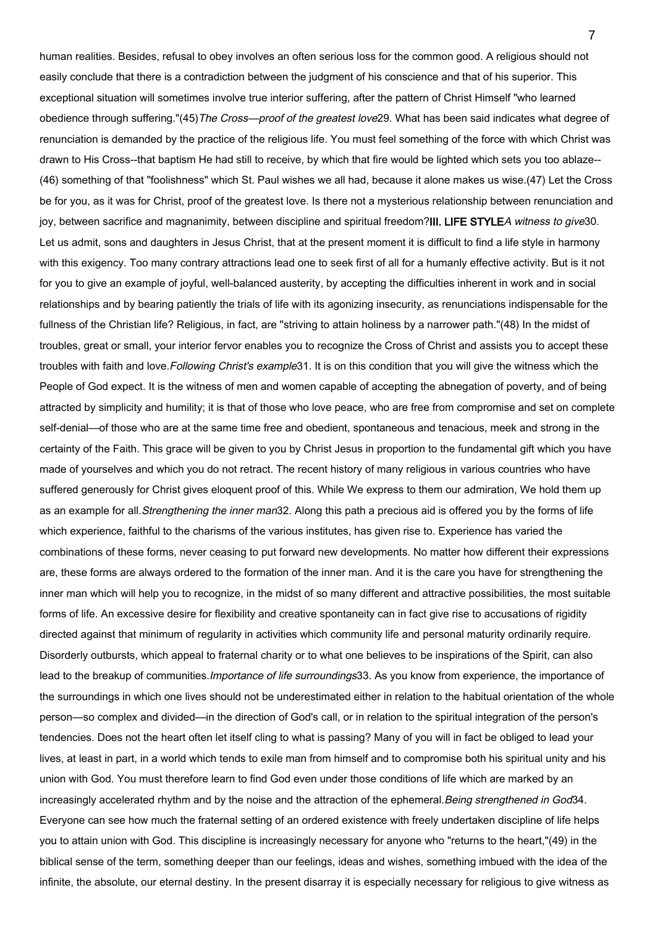human realities. Besides, refusal to obey involves an often serious loss for the common good. A religious should not easily conclude that there is a contradiction between the judgment of his conscience and that of his superior. This exceptional situation will sometimes involve true interior suffering, after the pattern of Christ Himself "who learned obedience through suffering."(45)The Cross—proof of the greatest love29. What has been said indicates what degree of renunciation is demanded by the practice of the religious life. You must feel something of the force with which Christ was drawn to His Cross--that baptism He had still to receive, by which that fire would be lighted which sets you too ablaze-- (46) something of that "foolishness" which St. Paul wishes we all had, because it alone makes us wise.(47) Let the Cross be for you, as it was for Christ, proof of the greatest love. Is there not a mysterious relationship between renunciation and joy, between sacrifice and magnanimity, between discipline and spiritual freedom?III. LIFE STYLEA witness to give30. Let us admit, sons and daughters in Jesus Christ, that at the present moment it is difficult to find a life style in harmony with this exigency. Too many contrary attractions lead one to seek first of all for a humanly effective activity. But is it not for you to give an example of joyful, well-balanced austerity, by accepting the difficulties inherent in work and in social relationships and by bearing patiently the trials of life with its agonizing insecurity, as renunciations indispensable for the fullness of the Christian life? Religious, in fact, are "striving to attain holiness by a narrower path."(48) In the midst of troubles, great or small, your interior fervor enables you to recognize the Cross of Christ and assists you to accept these troubles with faith and love. Following Christ's example31. It is on this condition that you will give the witness which the People of God expect. It is the witness of men and women capable of accepting the abnegation of poverty, and of being attracted by simplicity and humility; it is that of those who love peace, who are free from compromise and set on complete self-denial—of those who are at the same time free and obedient, spontaneous and tenacious, meek and strong in the certainty of the Faith. This grace will be given to you by Christ Jesus in proportion to the fundamental gift which you have made of yourselves and which you do not retract. The recent history of many religious in various countries who have suffered generously for Christ gives eloquent proof of this. While We express to them our admiration, We hold them up as an example for all. Strengthening the inner man32. Along this path a precious aid is offered you by the forms of life which experience, faithful to the charisms of the various institutes, has given rise to. Experience has varied the combinations of these forms, never ceasing to put forward new developments. No matter how different their expressions are, these forms are always ordered to the formation of the inner man. And it is the care you have for strengthening the inner man which will help you to recognize, in the midst of so many different and attractive possibilities, the most suitable forms of life. An excessive desire for flexibility and creative spontaneity can in fact give rise to accusations of rigidity directed against that minimum of regularity in activities which community life and personal maturity ordinarily require. Disorderly outbursts, which appeal to fraternal charity or to what one believes to be inspirations of the Spirit, can also lead to the breakup of communities. Importance of life surroundings33. As you know from experience, the importance of the surroundings in which one lives should not be underestimated either in relation to the habitual orientation of the whole person—so complex and divided—in the direction of God's call, or in relation to the spiritual integration of the person's tendencies. Does not the heart often let itself cling to what is passing? Many of you will in fact be obliged to lead your lives, at least in part, in a world which tends to exile man from himself and to compromise both his spiritual unity and his union with God. You must therefore learn to find God even under those conditions of life which are marked by an increasingly accelerated rhythm and by the noise and the attraction of the ephemeral. Being strengthened in God34. Everyone can see how much the fraternal setting of an ordered existence with freely undertaken discipline of life helps you to attain union with God. This discipline is increasingly necessary for anyone who "returns to the heart,"(49) in the biblical sense of the term, something deeper than our feelings, ideas and wishes, something imbued with the idea of the infinite, the absolute, our eternal destiny. In the present disarray it is especially necessary for religious to give witness as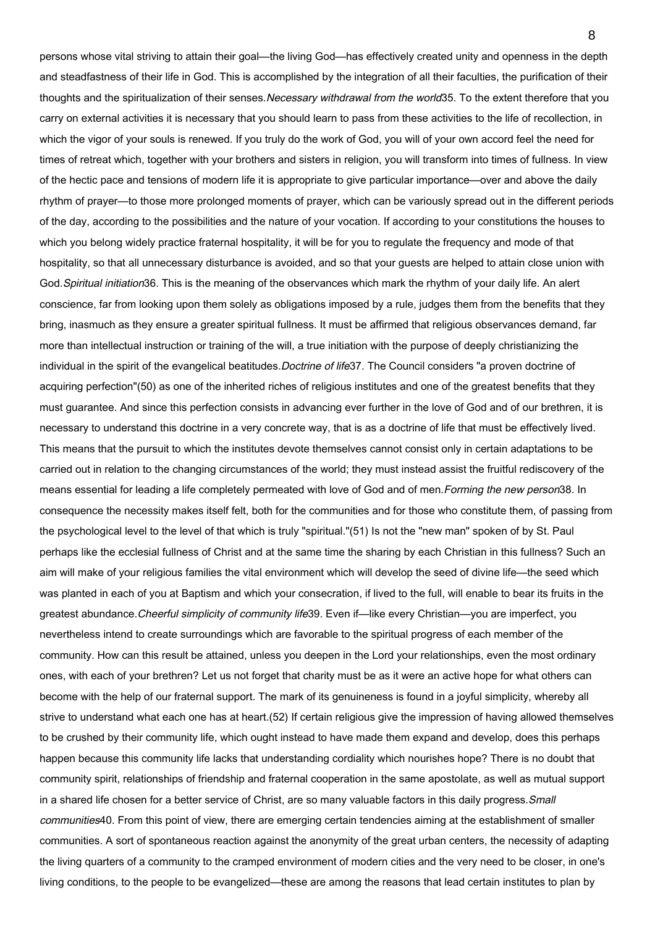persons whose vital striving to attain their goal—the living God—has effectively created unity and openness in the depth and steadfastness of their life in God. This is accomplished by the integration of all their faculties, the purification of their thoughts and the spiritualization of their senses. Necessary withdrawal from the world35. To the extent therefore that you carry on external activities it is necessary that you should learn to pass from these activities to the life of recollection, in which the vigor of your souls is renewed. If you truly do the work of God, you will of your own accord feel the need for times of retreat which, together with your brothers and sisters in religion, you will transform into times of fullness. In view of the hectic pace and tensions of modern life it is appropriate to give particular importance—over and above the daily rhythm of prayer—to those more prolonged moments of prayer, which can be variously spread out in the different periods of the day, according to the possibilities and the nature of your vocation. If according to your constitutions the houses to which you belong widely practice fraternal hospitality, it will be for you to regulate the frequency and mode of that hospitality, so that all unnecessary disturbance is avoided, and so that your guests are helped to attain close union with God. Spiritual initiation36. This is the meaning of the observances which mark the rhythm of your daily life. An alert conscience, far from looking upon them solely as obligations imposed by a rule, judges them from the benefits that they bring, inasmuch as they ensure a greater spiritual fullness. It must be affirmed that religious observances demand, far more than intellectual instruction or training of the will, a true initiation with the purpose of deeply christianizing the individual in the spirit of the evangelical beatitudes. Doctrine of life37. The Council considers "a proven doctrine of acquiring perfection"(50) as one of the inherited riches of religious institutes and one of the greatest benefits that they must guarantee. And since this perfection consists in advancing ever further in the love of God and of our brethren, it is necessary to understand this doctrine in a very concrete way, that is as a doctrine of life that must be effectively lived. This means that the pursuit to which the institutes devote themselves cannot consist only in certain adaptations to be carried out in relation to the changing circumstances of the world; they must instead assist the fruitful rediscovery of the means essential for leading a life completely permeated with love of God and of men. Forming the new person38. In consequence the necessity makes itself felt, both for the communities and for those who constitute them, of passing from the psychological level to the level of that which is truly "spiritual."(51) Is not the "new man" spoken of by St. Paul perhaps like the ecclesial fullness of Christ and at the same time the sharing by each Christian in this fullness? Such an aim will make of your religious families the vital environment which will develop the seed of divine life—the seed which was planted in each of you at Baptism and which your consecration, if lived to the full, will enable to bear its fruits in the greatest abundance. Cheerful simplicity of community life39. Even if—like every Christian—you are imperfect, you nevertheless intend to create surroundings which are favorable to the spiritual progress of each member of the community. How can this result be attained, unless you deepen in the Lord your relationships, even the most ordinary ones, with each of your brethren? Let us not forget that charity must be as it were an active hope for what others can become with the help of our fraternal support. The mark of its genuineness is found in a joyful simplicity, whereby all strive to understand what each one has at heart.(52) If certain religious give the impression of having allowed themselves to be crushed by their community life, which ought instead to have made them expand and develop, does this perhaps happen because this community life lacks that understanding cordiality which nourishes hope? There is no doubt that community spirit, relationships of friendship and fraternal cooperation in the same apostolate, as well as mutual support in a shared life chosen for a better service of Christ, are so many valuable factors in this daily progress. Small communities40. From this point of view, there are emerging certain tendencies aiming at the establishment of smaller communities. A sort of spontaneous reaction against the anonymity of the great urban centers, the necessity of adapting the living quarters of a community to the cramped environment of modern cities and the very need to be closer, in one's living conditions, to the people to be evangelized—these are among the reasons that lead certain institutes to plan by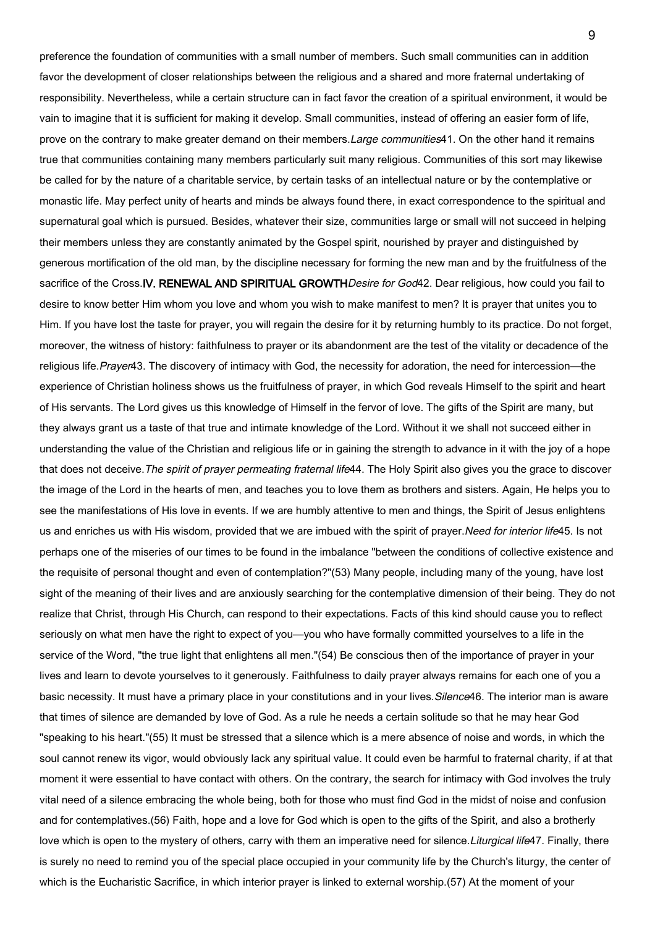preference the foundation of communities with a small number of members. Such small communities can in addition favor the development of closer relationships between the religious and a shared and more fraternal undertaking of responsibility. Nevertheless, while a certain structure can in fact favor the creation of a spiritual environment, it would be vain to imagine that it is sufficient for making it develop. Small communities, instead of offering an easier form of life, prove on the contrary to make greater demand on their members. Large communities 41. On the other hand it remains true that communities containing many members particularly suit many religious. Communities of this sort may likewise be called for by the nature of a charitable service, by certain tasks of an intellectual nature or by the contemplative or monastic life. May perfect unity of hearts and minds be always found there, in exact correspondence to the spiritual and supernatural goal which is pursued. Besides, whatever their size, communities large or small will not succeed in helping their members unless they are constantly animated by the Gospel spirit, nourished by prayer and distinguished by generous mortification of the old man, by the discipline necessary for forming the new man and by the fruitfulness of the sacrifice of the Cross.IV. RENEWAL AND SPIRITUAL GROWTH Desire for God42. Dear religious, how could you fail to desire to know better Him whom you love and whom you wish to make manifest to men? It is prayer that unites you to Him. If you have lost the taste for prayer, you will regain the desire for it by returning humbly to its practice. Do not forget, moreover, the witness of history: faithfulness to prayer or its abandonment are the test of the vitality or decadence of the religious life.Prayer43. The discovery of intimacy with God, the necessity for adoration, the need for intercession—the experience of Christian holiness shows us the fruitfulness of prayer, in which God reveals Himself to the spirit and heart of His servants. The Lord gives us this knowledge of Himself in the fervor of love. The gifts of the Spirit are many, but they always grant us a taste of that true and intimate knowledge of the Lord. Without it we shall not succeed either in understanding the value of the Christian and religious life or in gaining the strength to advance in it with the joy of a hope that does not deceive. The spirit of prayer permeating fraternal life44. The Holy Spirit also gives you the grace to discover the image of the Lord in the hearts of men, and teaches you to love them as brothers and sisters. Again, He helps you to see the manifestations of His love in events. If we are humbly attentive to men and things, the Spirit of Jesus enlightens us and enriches us with His wisdom, provided that we are imbued with the spirit of prayer. Need for interior life45. Is not perhaps one of the miseries of our times to be found in the imbalance "between the conditions of collective existence and the requisite of personal thought and even of contemplation?"(53) Many people, including many of the young, have lost sight of the meaning of their lives and are anxiously searching for the contemplative dimension of their being. They do not realize that Christ, through His Church, can respond to their expectations. Facts of this kind should cause you to reflect seriously on what men have the right to expect of you—you who have formally committed yourselves to a life in the service of the Word, "the true light that enlightens all men."(54) Be conscious then of the importance of prayer in your lives and learn to devote yourselves to it generously. Faithfulness to daily prayer always remains for each one of you a basic necessity. It must have a primary place in your constitutions and in your lives. Silence46. The interior man is aware that times of silence are demanded by love of God. As a rule he needs a certain solitude so that he may hear God "speaking to his heart."(55) It must be stressed that a silence which is a mere absence of noise and words, in which the soul cannot renew its vigor, would obviously lack any spiritual value. It could even be harmful to fraternal charity, if at that moment it were essential to have contact with others. On the contrary, the search for intimacy with God involves the truly vital need of a silence embracing the whole being, both for those who must find God in the midst of noise and confusion and for contemplatives.(56) Faith, hope and a love for God which is open to the gifts of the Spirit, and also a brotherly love which is open to the mystery of others, carry with them an imperative need for silence. Liturgical life47. Finally, there is surely no need to remind you of the special place occupied in your community life by the Church's liturgy, the center of which is the Eucharistic Sacrifice, in which interior prayer is linked to external worship.(57) At the moment of your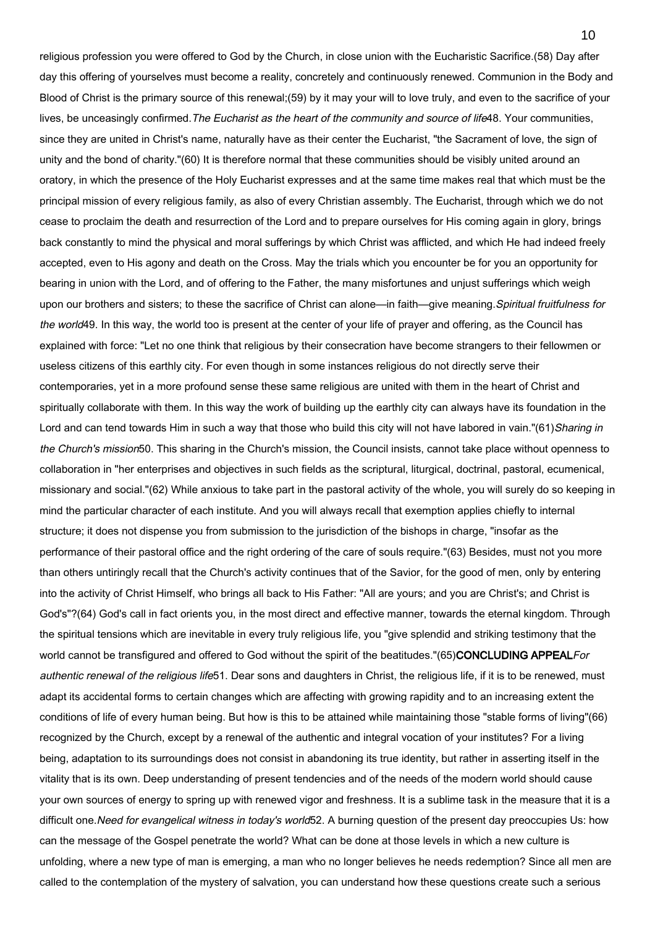religious profession you were offered to God by the Church, in close union with the Eucharistic Sacrifice.(58) Day after day this offering of yourselves must become a reality, concretely and continuously renewed. Communion in the Body and Blood of Christ is the primary source of this renewal;(59) by it may your will to love truly, and even to the sacrifice of your lives, be unceasingly confirmed. The Eucharist as the heart of the community and source of life48. Your communities, since they are united in Christ's name, naturally have as their center the Eucharist, "the Sacrament of love, the sign of unity and the bond of charity."(60) It is therefore normal that these communities should be visibly united around an oratory, in which the presence of the Holy Eucharist expresses and at the same time makes real that which must be the principal mission of every religious family, as also of every Christian assembly. The Eucharist, through which we do not cease to proclaim the death and resurrection of the Lord and to prepare ourselves for His coming again in glory, brings back constantly to mind the physical and moral sufferings by which Christ was afflicted, and which He had indeed freely accepted, even to His agony and death on the Cross. May the trials which you encounter be for you an opportunity for bearing in union with the Lord, and of offering to the Father, the many misfortunes and unjust sufferings which weigh upon our brothers and sisters; to these the sacrifice of Christ can alone—in faith—give meaning. Spiritual fruitfulness for the world49. In this way, the world too is present at the center of your life of prayer and offering, as the Council has explained with force: "Let no one think that religious by their consecration have become strangers to their fellowmen or useless citizens of this earthly city. For even though in some instances religious do not directly serve their contemporaries, yet in a more profound sense these same religious are united with them in the heart of Christ and spiritually collaborate with them. In this way the work of building up the earthly city can always have its foundation in the Lord and can tend towards Him in such a way that those who build this city will not have labored in vain."(61) Sharing in the Church's mission50. This sharing in the Church's mission, the Council insists, cannot take place without openness to collaboration in "her enterprises and objectives in such fields as the scriptural, liturgical, doctrinal, pastoral, ecumenical, missionary and social."(62) While anxious to take part in the pastoral activity of the whole, you will surely do so keeping in mind the particular character of each institute. And you will always recall that exemption applies chiefly to internal structure; it does not dispense you from submission to the jurisdiction of the bishops in charge, "insofar as the performance of their pastoral office and the right ordering of the care of souls require."(63) Besides, must not you more than others untiringly recall that the Church's activity continues that of the Savior, for the good of men, only by entering into the activity of Christ Himself, who brings all back to His Father: "All are yours; and you are Christ's; and Christ is God's"?(64) God's call in fact orients you, in the most direct and effective manner, towards the eternal kingdom. Through the spiritual tensions which are inevitable in every truly religious life, you "give splendid and striking testimony that the world cannot be transfigured and offered to God without the spirit of the beatitudes."(65)CONCLUDING APPEALFor authentic renewal of the religious life51. Dear sons and daughters in Christ, the religious life, if it is to be renewed, must adapt its accidental forms to certain changes which are affecting with growing rapidity and to an increasing extent the conditions of life of every human being. But how is this to be attained while maintaining those "stable forms of living"(66) recognized by the Church, except by a renewal of the authentic and integral vocation of your institutes? For a living being, adaptation to its surroundings does not consist in abandoning its true identity, but rather in asserting itself in the vitality that is its own. Deep understanding of present tendencies and of the needs of the modern world should cause your own sources of energy to spring up with renewed vigor and freshness. It is a sublime task in the measure that it is a difficult one.Need for evangelical witness in today's world52. A burning question of the present day preoccupies Us: how can the message of the Gospel penetrate the world? What can be done at those levels in which a new culture is unfolding, where a new type of man is emerging, a man who no longer believes he needs redemption? Since all men are called to the contemplation of the mystery of salvation, you can understand how these questions create such a serious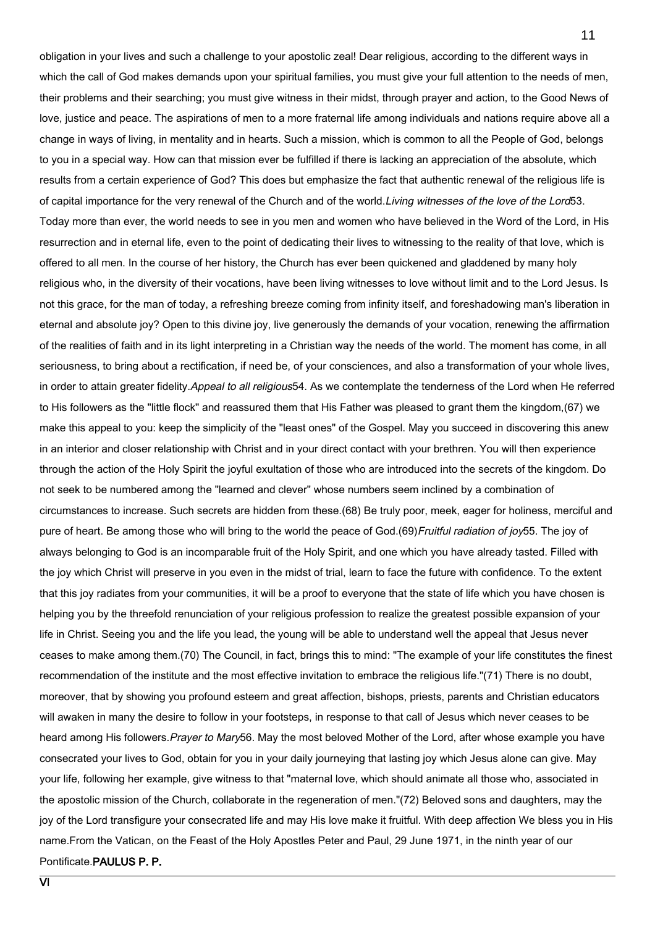obligation in your lives and such a challenge to your apostolic zeal! Dear religious, according to the different ways in which the call of God makes demands upon your spiritual families, you must give your full attention to the needs of men, their problems and their searching; you must give witness in their midst, through prayer and action, to the Good News of love, justice and peace. The aspirations of men to a more fraternal life among individuals and nations require above all a change in ways of living, in mentality and in hearts. Such a mission, which is common to all the People of God, belongs to you in a special way. How can that mission ever be fulfilled if there is lacking an appreciation of the absolute, which results from a certain experience of God? This does but emphasize the fact that authentic renewal of the religious life is of capital importance for the very renewal of the Church and of the world.Living witnesses of the love of the Lord53. Today more than ever, the world needs to see in you men and women who have believed in the Word of the Lord, in His resurrection and in eternal life, even to the point of dedicating their lives to witnessing to the reality of that love, which is offered to all men. In the course of her history, the Church has ever been quickened and gladdened by many holy religious who, in the diversity of their vocations, have been living witnesses to love without limit and to the Lord Jesus. Is not this grace, for the man of today, a refreshing breeze coming from infinity itself, and foreshadowing man's liberation in eternal and absolute joy? Open to this divine joy, live generously the demands of your vocation, renewing the affirmation of the realities of faith and in its light interpreting in a Christian way the needs of the world. The moment has come, in all seriousness, to bring about a rectification, if need be, of your consciences, and also a transformation of your whole lives, in order to attain greater fidelity.Appeal to all religious54. As we contemplate the tenderness of the Lord when He referred to His followers as the "little flock" and reassured them that His Father was pleased to grant them the kingdom,(67) we make this appeal to you: keep the simplicity of the "least ones" of the Gospel. May you succeed in discovering this anew in an interior and closer relationship with Christ and in your direct contact with your brethren. You will then experience through the action of the Holy Spirit the joyful exultation of those who are introduced into the secrets of the kingdom. Do not seek to be numbered among the "learned and clever" whose numbers seem inclined by a combination of circumstances to increase. Such secrets are hidden from these.(68) Be truly poor, meek, eager for holiness, merciful and pure of heart. Be among those who will bring to the world the peace of God.(69) Fruitful radiation of joy55. The joy of always belonging to God is an incomparable fruit of the Holy Spirit, and one which you have already tasted. Filled with the joy which Christ will preserve in you even in the midst of trial, learn to face the future with confidence. To the extent that this joy radiates from your communities, it will be a proof to everyone that the state of life which you have chosen is helping you by the threefold renunciation of your religious profession to realize the greatest possible expansion of your life in Christ. Seeing you and the life you lead, the young will be able to understand well the appeal that Jesus never ceases to make among them.(70) The Council, in fact, brings this to mind: "The example of your life constitutes the finest recommendation of the institute and the most effective invitation to embrace the religious life."(71) There is no doubt, moreover, that by showing you profound esteem and great affection, bishops, priests, parents and Christian educators will awaken in many the desire to follow in your footsteps, in response to that call of Jesus which never ceases to be heard among His followers. Prayer to Mary56. May the most beloved Mother of the Lord, after whose example you have consecrated your lives to God, obtain for you in your daily journeying that lasting joy which Jesus alone can give. May your life, following her example, give witness to that "maternal love, which should animate all those who, associated in the apostolic mission of the Church, collaborate in the regeneration of men."(72) Beloved sons and daughters, may the joy of the Lord transfigure your consecrated life and may His love make it fruitful. With deep affection We bless you in His name.From the Vatican, on the Feast of the Holy Apostles Peter and Paul, 29 June 1971, in the ninth year of our Pontificate.PAULUS P. P.